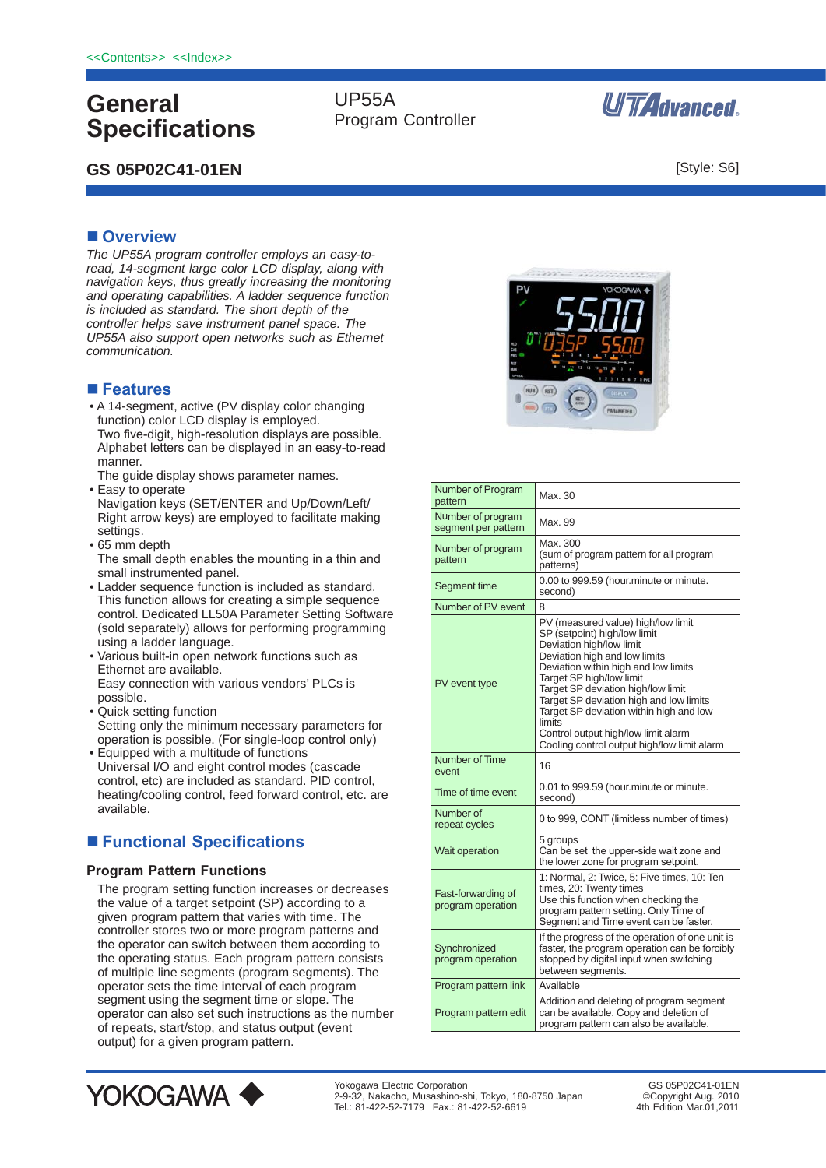# **General Specifications**

# **GS 05P02C41-01EN**

UP55A Program Controller



[Style: S6]

# **n** Overview

*The UP55A program controller employs an easy-toread, 14-segment large color LCD display, along with navigation keys, thus greatly increasing the monitoring and operating capabilities. A ladder sequence function is included as standard. The short depth of the controller helps save instrument panel space. The UP55A also support open networks such as Ethernet communication.*

### **■ Features**

• A 14-segment, active (PV display color changing function) color LCD display is employed. Two five-digit, high-resolution displays are possible. Alphabet letters can be displayed in an easy-to-read manner.

The guide display shows parameter names.

- Easy to operate Navigation keys (SET/ENTER and Up/Down/Left/ Right arrow keys) are employed to facilitate making settings.
- 65 mm depth The small depth enables the mounting in a thin and small instrumented panel.
- Ladder sequence function is included as standard. This function allows for creating a simple sequence control. Dedicated LL50A Parameter Setting Software (sold separately) allows for performing programming using a ladder language.
- Various built-in open network functions such as Ethernet are available. Easy connection with various vendors' PLCs is possible.
- Quick setting function Setting only the minimum necessary parameters for operation is possible. (For single-loop control only)
- Equipped with a multitude of functions Universal I/O and eight control modes (cascade control, etc) are included as standard. PID control, heating/cooling control, feed forward control, etc. are available.

# ■ Functional Specifications

#### **Program Pattern Functions**

The program setting function increases or decreases the value of a target setpoint (SP) according to a given program pattern that varies with time. The controller stores two or more program patterns and the operator can switch between them according to the operating status. Each program pattern consists of multiple line segments (program segments). The operator sets the time interval of each program segment using the segment time or slope. The operator can also set such instructions as the number of repeats, start/stop, and status output (event output) for a given program pattern.



| Number of Program<br>pattern             | Max. 30                                                                                                                                                                                                                                                                                                                                                                                                                         |
|------------------------------------------|---------------------------------------------------------------------------------------------------------------------------------------------------------------------------------------------------------------------------------------------------------------------------------------------------------------------------------------------------------------------------------------------------------------------------------|
| Number of program<br>segment per pattern | Max. 99                                                                                                                                                                                                                                                                                                                                                                                                                         |
| Number of program<br>pattern             | Max. 300<br>(sum of program pattern for all program<br>patterns)                                                                                                                                                                                                                                                                                                                                                                |
| Segment time                             | 0.00 to 999.59 (hour.minute or minute.<br>second)                                                                                                                                                                                                                                                                                                                                                                               |
| Number of PV event                       | 8                                                                                                                                                                                                                                                                                                                                                                                                                               |
| PV event type                            | PV (measured value) high/low limit<br>SP (setpoint) high/low limit<br>Deviation high/low limit<br>Deviation high and low limits<br>Deviation within high and low limits<br>Target SP high/low limit<br>Target SP deviation high/low limit<br>Target SP deviation high and low limits<br>Target SP deviation within high and low<br>limits<br>Control output high/low limit alarm<br>Cooling control output high/low limit alarm |
| Number of Time<br>event                  | 16                                                                                                                                                                                                                                                                                                                                                                                                                              |
| Time of time event                       | 0.01 to 999.59 (hour.minute or minute.<br>second)                                                                                                                                                                                                                                                                                                                                                                               |
| Number of<br>repeat cycles               | 0 to 999, CONT (limitless number of times)                                                                                                                                                                                                                                                                                                                                                                                      |
| Wait operation                           | 5 groups<br>Can be set the upper-side wait zone and<br>the lower zone for program setpoint.                                                                                                                                                                                                                                                                                                                                     |
| Fast-forwarding of<br>program operation  | 1: Normal, 2: Twice, 5: Five times, 10: Ten<br>times, 20: Twenty times<br>Use this function when checking the<br>program pattern setting. Only Time of<br>Segment and Time event can be faster.                                                                                                                                                                                                                                 |
| Synchronized<br>program operation        | If the progress of the operation of one unit is<br>faster, the program operation can be forcibly<br>stopped by digital input when switching                                                                                                                                                                                                                                                                                     |
|                                          | between segments.                                                                                                                                                                                                                                                                                                                                                                                                               |
| Program pattern link                     | Available                                                                                                                                                                                                                                                                                                                                                                                                                       |



GS 05P02C41-01EN ©Copyright Aug. 2010 4th Edition Mar 01, 2011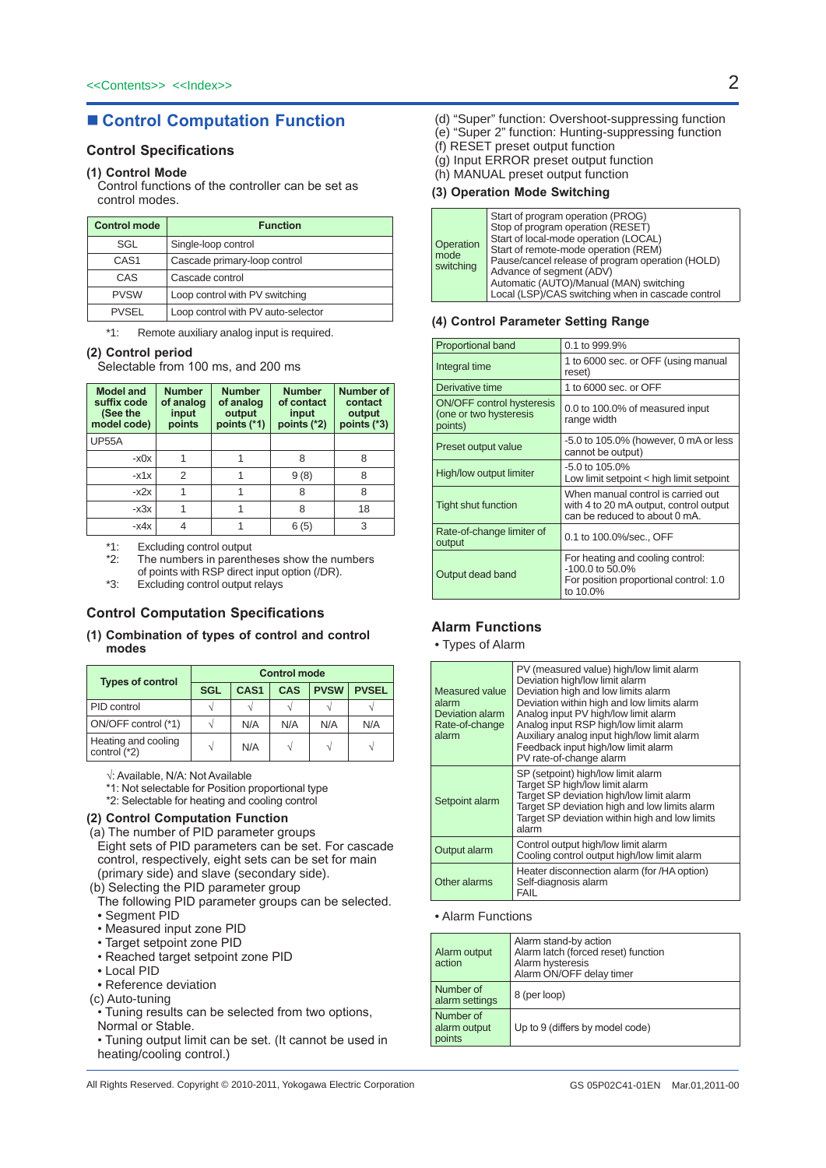# ■ **Control Computation Function**

### **Control Specifications**

### **(1) Control Mode**

 Control functions of the controller can be set as control modes.

| <b>Control mode</b> | <b>Function</b>                    |  |
|---------------------|------------------------------------|--|
| SGL                 | Single-loop control                |  |
| CAS <sub>1</sub>    | Cascade primary-loop control       |  |
| CAS                 | Cascade control                    |  |
| <b>PVSW</b>         | Loop control with PV switching     |  |
| <b>PVSEL</b>        | Loop control with PV auto-selector |  |

\*1: Remote auxiliary analog input is required.

#### **(2) Control period**

 Selectable from 100 ms, and 200 ms

| <b>Model and</b><br>suffix code<br>(See the<br>model code) | <b>Number</b><br>of analog<br>input<br>points | <b>Number</b><br>of analog<br>output<br>points (*1) | <b>Number</b><br>of contact<br>input<br>points (*2) | <b>Number of</b><br>contact<br>output<br>points (*3) |
|------------------------------------------------------------|-----------------------------------------------|-----------------------------------------------------|-----------------------------------------------------|------------------------------------------------------|
| <b>UP55A</b>                                               |                                               |                                                     |                                                     |                                                      |
| -x0x                                                       |                                               |                                                     | 8                                                   | 8                                                    |
| $-x1x$                                                     | 2                                             |                                                     | 9(8)                                                | 8                                                    |
| $-x2x$                                                     |                                               |                                                     | 8                                                   | 8                                                    |
| $-x3x$                                                     |                                               |                                                     | 8                                                   | 18                                                   |
| -x4x                                                       |                                               |                                                     | 6(5)                                                | 3                                                    |

\*1: Excluding control output<br>\*2: The numbers in parent

- The numbers in parentheses show the numbers of points with RSP direct input option (/DR).
- \*3: Excluding control output relays

### **Control Computation Specifications**

#### **(1) Combination of types of control and control modes**

| <b>Types of control</b>             | <b>Control mode</b> |                  |            |             |              |
|-------------------------------------|---------------------|------------------|------------|-------------|--------------|
|                                     | <b>SGL</b>          | CAS <sub>1</sub> | <b>CAS</b> | <b>PVSW</b> | <b>PVSEL</b> |
| PID control                         |                     |                  |            |             |              |
| ON/OFF control (*1)                 |                     | N/A              | N/A        | N/A         | N/A          |
| Heating and cooling<br>control (*2) | V                   | N/A              |            |             |              |

√: Available, N/A: Not Available

\*1: Not selectable for Position proportional type

\*2: Selectable for heating and cooling control

### **(2) Control Computation Function**

(a) The number of PID parameter groups Eight sets of PID parameters can be set. For cascade control, respectively, eight sets can be set for main (primary side) and slave (secondary side).

(b) Selecting the PID parameter group

- The following PID parameter groups can be selected.
- Segment PID
- Measured input zone PID
- Target setpoint zone PID
- Reached target setpoint zone PID
- Local PID
- Reference deviation
- (c) Auto-tuning
- Tuning results can be selected from two options,
- Normal or Stable.
- Tuning output limit can be set. (It cannot be used in heating/cooling control.)
- (d) "Super" function: Overshoot-suppressing function
	- (e) "Super 2" function: Hunting-suppressing function
	- (f) RESET preset output function
- (g) Input ERROR preset output function
- (h) MANUAL preset output function

#### **(3) Operation Mode Switching**

| Operation<br>mode<br>switching | Start of program operation (PROG)<br>Stop of program operation (RESET)<br>Start of local-mode operation (LOCAL)<br>Start of remote-mode operation (REM)<br>Pause/cancel release of program operation (HOLD)<br>Advance of segment (ADV)<br>Automatic (AUTO)/Manual (MAN) switching<br>Local (LSP)/CAS switching when in cascade control |
|--------------------------------|-----------------------------------------------------------------------------------------------------------------------------------------------------------------------------------------------------------------------------------------------------------------------------------------------------------------------------------------|
|--------------------------------|-----------------------------------------------------------------------------------------------------------------------------------------------------------------------------------------------------------------------------------------------------------------------------------------------------------------------------------------|

#### **(4) Control Parameter Setting Range**

| <b>Proportional band</b>                                              | 0.1 to 999.9%                                                                                                 |
|-----------------------------------------------------------------------|---------------------------------------------------------------------------------------------------------------|
| Integral time                                                         | 1 to 6000 sec. or OFF (using manual<br>reset)                                                                 |
| Derivative time                                                       | 1 to 6000 sec. or OFF                                                                                         |
| <b>ON/OFF control hysteresis</b><br>(one or two hysteresis<br>points) | 0.0 to 100.0% of measured input<br>range width                                                                |
| Preset output value                                                   | -5.0 to 105.0% (however, 0 mA or less<br>cannot be output)                                                    |
| High/low output limiter                                               | $-5.0$ to 105.0%<br>Low limit setpoint < high limit setpoint                                                  |
| Tight shut function                                                   | When manual control is carried out<br>with 4 to 20 mA output, control output<br>can be reduced to about 0 mA. |
| Rate-of-change limiter of<br>output                                   | 0.1 to 100.0%/sec., OFF                                                                                       |
| Output dead band                                                      | For heating and cooling control:<br>$-100.0$ to 50.0%<br>For position proportional control: 1.0<br>to 10.0%   |

#### **Alarm Functions**

• Types of Alarm

| Measured value<br>alarm<br>Deviation alarm<br>Rate-of-change<br>alarm | PV (measured value) high/low limit alarm<br>Deviation high/low limit alarm<br>Deviation high and low limits alarm<br>Deviation within high and low limits alarm<br>Analog input PV high/low limit alarm<br>Analog input RSP high/low limit alarm<br>Auxiliary analog input high/low limit alarm<br>Feedback input high/low limit alarm<br>PV rate-of-change alarm |
|-----------------------------------------------------------------------|-------------------------------------------------------------------------------------------------------------------------------------------------------------------------------------------------------------------------------------------------------------------------------------------------------------------------------------------------------------------|
| Setpoint alarm                                                        | SP (setpoint) high/low limit alarm<br>Target SP high/low limit alarm<br>Target SP deviation high/low limit alarm<br>Target SP deviation high and low limits alarm<br>Target SP deviation within high and low limits<br>alarm                                                                                                                                      |
| Output alarm                                                          | Control output high/low limit alarm<br>Cooling control output high/low limit alarm                                                                                                                                                                                                                                                                                |
| Other alarms                                                          | Heater disconnection alarm (for /HA option)<br>Self-diagnosis alarm<br><b>FAIL</b>                                                                                                                                                                                                                                                                                |

#### • Alarm Functions

| Alarm output<br>action              | Alarm stand-by action<br>Alarm latch (forced reset) function<br>Alarm hysteresis<br>Alarm ON/OFF delay timer |
|-------------------------------------|--------------------------------------------------------------------------------------------------------------|
| Number of<br>alarm settings         | 8 (per loop)                                                                                                 |
| Number of<br>alarm output<br>points | Up to 9 (differs by model code)                                                                              |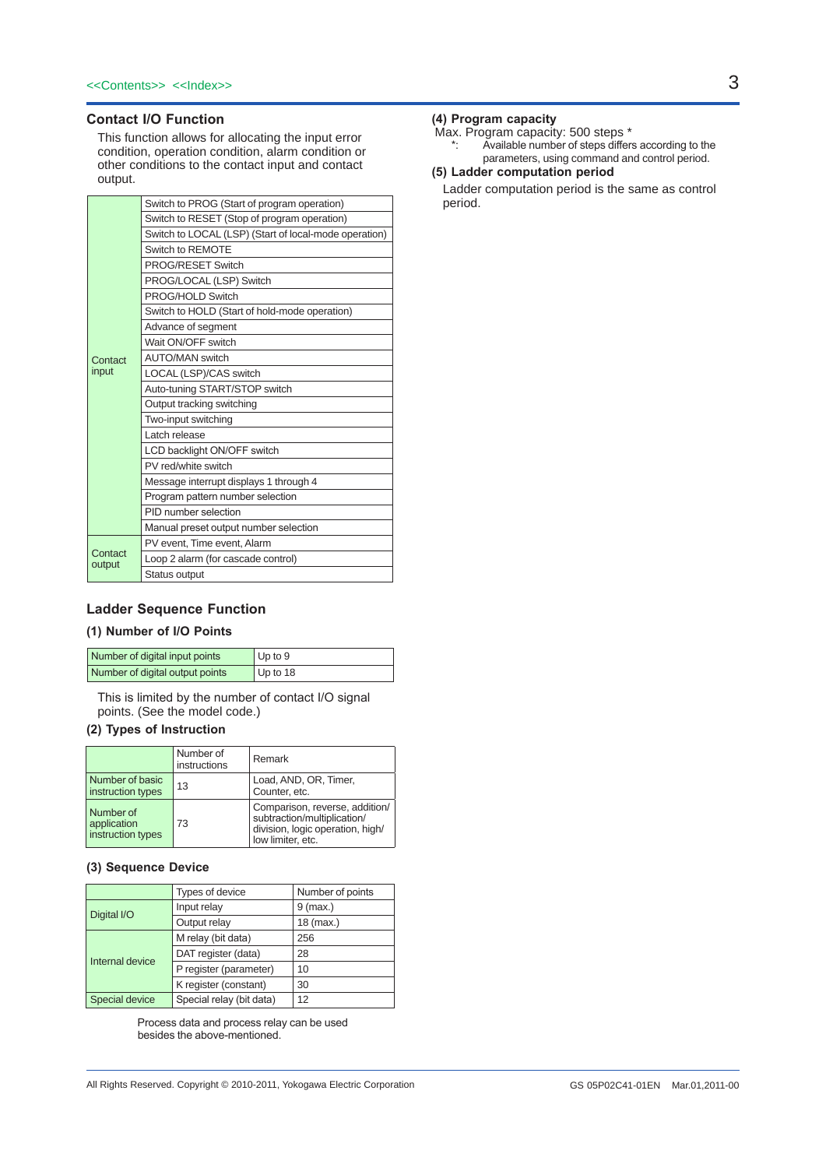### **Contact I/O Function**

This function allows for allocating the input error condition, operation condition, alarm condition or other conditions to the contact input and contact output.

|                   | Switch to PROG (Start of program operation)           |
|-------------------|-------------------------------------------------------|
|                   | Switch to RESET (Stop of program operation)           |
|                   | Switch to LOCAL (LSP) (Start of local-mode operation) |
|                   | Switch to REMOTE                                      |
|                   | PROG/RESET Switch                                     |
|                   | PROG/LOCAL (LSP) Switch                               |
|                   | PROG/HOLD Switch                                      |
|                   | Switch to HOLD (Start of hold-mode operation)         |
|                   | Advance of segment                                    |
|                   | Wait ON/OFF switch                                    |
| Contact           | <b>AUTO/MAN switch</b>                                |
| input             | LOCAL (LSP)/CAS switch                                |
|                   | Auto-tuning START/STOP switch                         |
|                   | Output tracking switching                             |
|                   | Two-input switching                                   |
|                   | Latch release                                         |
|                   | LCD backlight ON/OFF switch                           |
|                   | PV red/white switch                                   |
|                   | Message interrupt displays 1 through 4                |
|                   | Program pattern number selection                      |
|                   | PID number selection                                  |
|                   | Manual preset output number selection                 |
|                   | PV event, Time event, Alarm                           |
| Contact<br>output | Loop 2 alarm (for cascade control)                    |
|                   | Status output                                         |

### **Ladder Sequence Function**

### **(1) Number of I/O Points**

| Number of digital input points  | Up to $9$ |
|---------------------------------|-----------|
| Number of digital output points | Up to 18  |

 This is limited by the number of contact I/O signal points. (See the model code.)

### **(2) Types of Instruction**

|                                               | Number of<br>instructions | Remark                                                                                                                 |
|-----------------------------------------------|---------------------------|------------------------------------------------------------------------------------------------------------------------|
| Number of basic<br>instruction types          | 13                        | Load, AND, OR, Timer,<br>Counter, etc.                                                                                 |
| Number of<br>application<br>instruction types | 73                        | Comparison, reverse, addition/<br>subtraction/multiplication/<br>division, logic operation, high/<br>low limiter, etc. |

#### **(3) Sequence Device**

|                 | Types of device          | Number of points |
|-----------------|--------------------------|------------------|
| Digital I/O     | Input relay              | $9$ (max.)       |
|                 | Output relay             | $18$ (max.)      |
| Internal device | M relay (bit data)       | 256              |
|                 | DAT register (data)      | 28               |
|                 | P register (parameter)   | 10               |
|                 | K register (constant)    | 30               |
| Special device  | Special relay (bit data) | 12               |

 Process data and process relay can be used besides the above-mentioned.

Max. Program capacity: 500 steps \*

\*: Available number of steps differs according to the parameters, using command and control period.

### **(5) Ladder computation period**

Ladder computation period is the same as control period.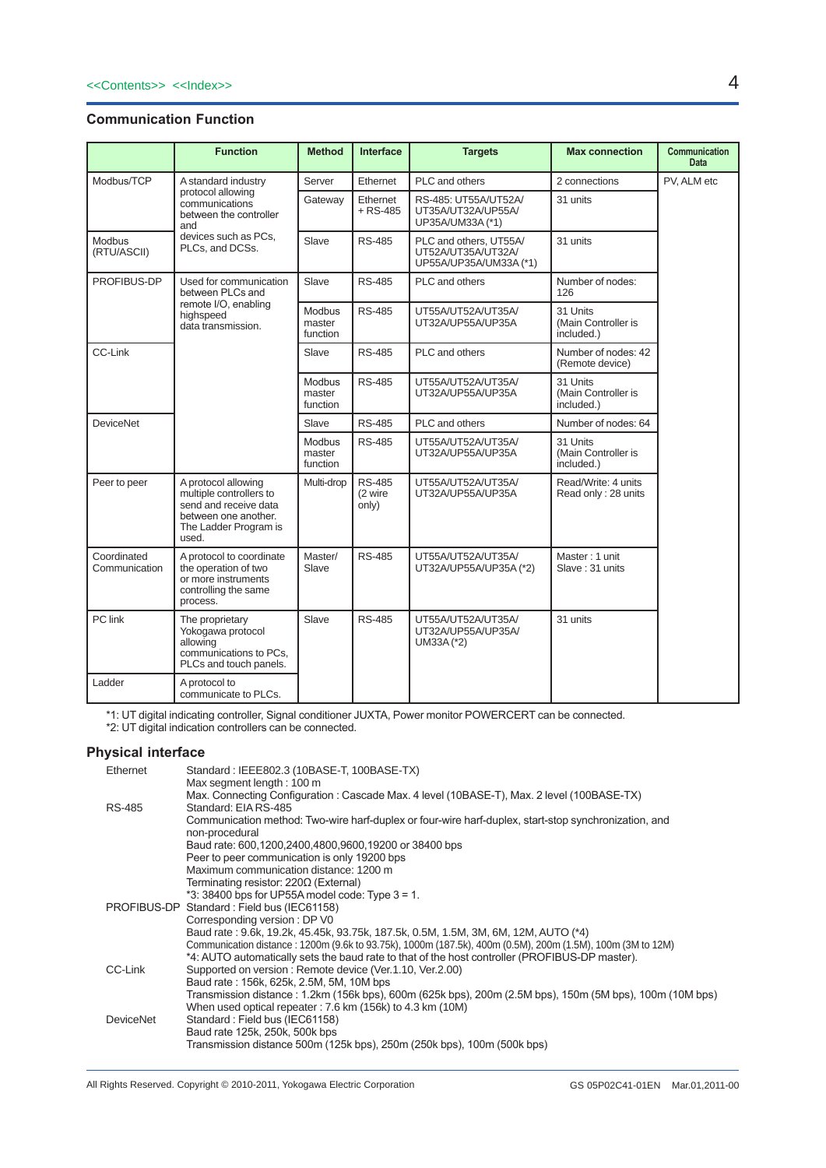# **Communication Function**

|                              | <b>Function</b>                                                                                                                   | <b>Method</b>                       | <b>Interface</b>                  | <b>Targets</b>                                                         | <b>Max connection</b>                         | <b>Communication</b><br><b>Data</b> |
|------------------------------|-----------------------------------------------------------------------------------------------------------------------------------|-------------------------------------|-----------------------------------|------------------------------------------------------------------------|-----------------------------------------------|-------------------------------------|
| Modbus/TCP                   | A standard industry                                                                                                               | Server                              | Ethernet                          | PLC and others                                                         | 2 connections                                 | PV, ALM etc                         |
|                              | protocol allowing<br>communications<br>between the controller<br>and                                                              | Gateway                             | Ethernet<br>$+$ RS-485            | RS-485: UT55A/UT52A/<br>UT35A/UT32A/UP55A/<br>UP35A/UM33A (*1)         | 31 units                                      |                                     |
| Modbus<br>(RTU/ASCII)        | devices such as PCs.<br>PLCs, and DCSs.                                                                                           | Slave                               | <b>RS-485</b>                     | PLC and others. UT55A/<br>UT52A/UT35A/UT32A/<br>UP55A/UP35A/UM33A (*1) | 31 units                                      |                                     |
| PROFIBUS-DP                  | Used for communication<br>between PLCs and                                                                                        | Slave                               | <b>RS-485</b>                     | PLC and others                                                         | Number of nodes:<br>126                       |                                     |
|                              | remote I/O, enabling<br>highspeed<br>data transmission.                                                                           | Modbus<br>master<br>function        | <b>RS-485</b>                     | UT55A/UT52A/UT35A/<br>UT32A/UP55A/UP35A                                | 31 Units<br>(Main Controller is<br>included.) |                                     |
| CC-Link                      |                                                                                                                                   | Slave                               | <b>RS-485</b>                     | PLC and others                                                         | Number of nodes: 42<br>(Remote device)        |                                     |
|                              |                                                                                                                                   | Modbus<br>master<br>function        | <b>RS-485</b>                     | UT55A/UT52A/UT35A/<br>UT32A/UP55A/UP35A                                | 31 Units<br>(Main Controller is<br>included.) |                                     |
| <b>DeviceNet</b>             |                                                                                                                                   | Slave                               | <b>RS-485</b>                     | PLC and others                                                         | Number of nodes: 64                           |                                     |
|                              |                                                                                                                                   | <b>Modbus</b><br>master<br>function | <b>RS-485</b>                     | UT55A/UT52A/UT35A/<br>UT32A/UP55A/UP35A                                | 31 Units<br>(Main Controller is<br>included.) |                                     |
| Peer to peer                 | A protocol allowing<br>multiple controllers to<br>send and receive data<br>between one another.<br>The Ladder Program is<br>used. | Multi-drop                          | <b>RS-485</b><br>(2 wire<br>only) | UT55A/UT52A/UT35A/<br>UT32A/UP55A/UP35A                                | Read/Write: 4 units<br>Read only: 28 units    |                                     |
| Coordinated<br>Communication | A protocol to coordinate<br>the operation of two<br>or more instruments<br>controlling the same<br>process.                       | Master/<br>Slave                    | <b>RS-485</b>                     | UT55A/UT52A/UT35A/<br>UT32A/UP55A/UP35A (*2)                           | Master: 1 unit<br>Slave: 31 units             |                                     |
| PC link                      | The proprietary<br>Yokogawa protocol<br>allowing<br>communications to PCs,<br>PLCs and touch panels.                              | Slave                               | <b>RS-485</b>                     | UT55A/UT52A/UT35A/<br>UT32A/UP55A/UP35A/<br>UM33A (*2)                 | 31 units                                      |                                     |
| Ladder                       | A protocol to<br>communicate to PLCs.                                                                                             |                                     |                                   |                                                                        |                                               |                                     |

\*1: UT digital indicating controller, Signal conditioner JUXTA, Power monitor POWERCERT can be connected.

\*2: UT digital indication controllers can be connected.

## **Physical interface**

| Ethernet      | Standard: IEEE802.3 (10BASE-T, 100BASE-TX)<br>Max segment length: 100 m                                                                                                                                      |
|---------------|--------------------------------------------------------------------------------------------------------------------------------------------------------------------------------------------------------------|
| <b>RS-485</b> | Max. Connecting Configuration : Cascade Max. 4 level (10BASE-T), Max. 2 level (100BASE-TX)<br>Standard: EIA RS-485                                                                                           |
|               | Communication method: Two-wire harf-duplex or four-wire harf-duplex, start-stop synchronization, and                                                                                                         |
|               | non-procedural<br>Baud rate: 600,1200,2400,4800,9600,19200 or 38400 bps                                                                                                                                      |
|               | Peer to peer communication is only 19200 bps.                                                                                                                                                                |
|               | Maximum communication distance: 1200 m                                                                                                                                                                       |
|               | Terminating resistor: 220Ω (External)                                                                                                                                                                        |
|               | $*3:38400$ bps for UP55A model code: Type $3 = 1$ .                                                                                                                                                          |
|               | PROFIBUS-DP Standard: Field bus (IEC61158)                                                                                                                                                                   |
|               | Corresponding version: DP V0                                                                                                                                                                                 |
|               | Baud rate: 9.6k, 19.2k, 45.45k, 93.75k, 187.5k, 0.5M, 1.5M, 3M, 6M, 12M, AUTO (*4)                                                                                                                           |
|               | Communication distance: 1200m (9.6k to 93.75k), 1000m (187.5k), 400m (0.5M), 200m (1.5M), 100m (3M to 12M)<br>*4: AUTO automatically sets the baud rate to that of the host controller (PROFIBUS-DP master). |
| CC-Link       | Supported on version: Remote device (Ver.1.10, Ver.2.00)                                                                                                                                                     |
|               | Baud rate: 156k, 625k, 2.5M, 5M, 10M bps                                                                                                                                                                     |
|               | Transmission distance : 1.2km (156k bps), 600m (625k bps), 200m (2.5M bps), 150m (5M bps), 100m (10M bps)                                                                                                    |
|               | When used optical repeater: 7.6 km (156k) to 4.3 km (10M)                                                                                                                                                    |
| DeviceNet     | Standard: Field bus (IEC61158)                                                                                                                                                                               |
|               | Baud rate 125k, 250k, 500k bps                                                                                                                                                                               |
|               | Transmission distance 500m (125k bps), 250m (250k bps), 100m (500k bps)                                                                                                                                      |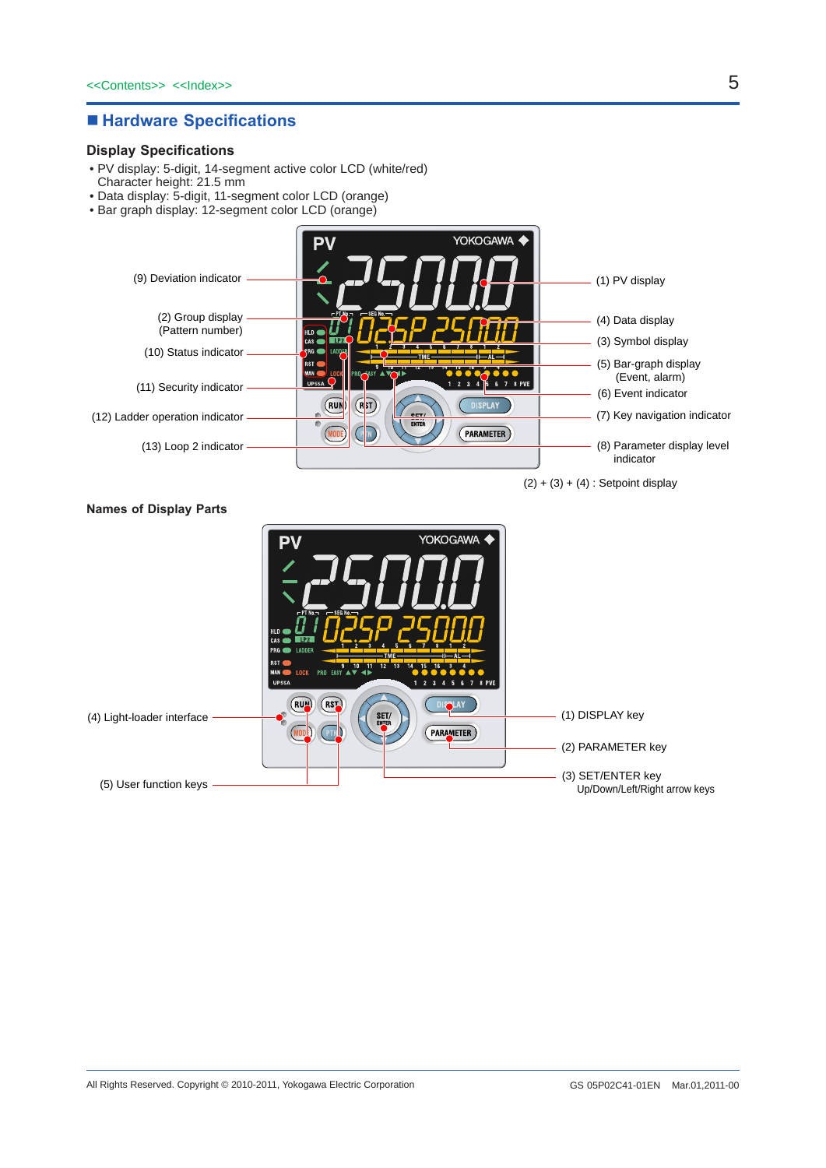# ■ Hardware Specifications

### **Display Specifications**

- PV display: 5-digit, 14-segment active color LCD (white/red) Character height: 21.5 mm
- Data display: 5-digit, 11-segment color LCD (orange)
- Bar graph display: 12-segment color LCD (orange)



 $(2) + (3) + (4)$ : Setpoint display

#### **Names of Display Parts**

|                            | YOKOGAWA <<br><b>PV</b><br>PT No - SEG No -<br>HLD<br>1P2<br>CAS (<br><b>PRG LADDER</b><br>— AL —<br>RST                                                                                    |                                                    |
|----------------------------|---------------------------------------------------------------------------------------------------------------------------------------------------------------------------------------------|----------------------------------------------------|
| (4) Light-loader interface | 12.<br>13<br>15<br><b>MAN</b><br>PRO EASY ▲▼<br><b>LOCK</b><br>4 Þ<br><b>UP55A</b><br>2 3 4 5 6 7 8 PVE<br>$(S_{\bullet}^-)$<br>(RUM)<br><b>DISSLAY</b><br>SET/<br>PARAMETER<br><b>PTND</b> | (1) DISPLAY key<br>(2) PARAMETER key               |
| (5) User function keys     |                                                                                                                                                                                             | (3) SET/ENTER key<br>Up/Down/Left/Right arrow keys |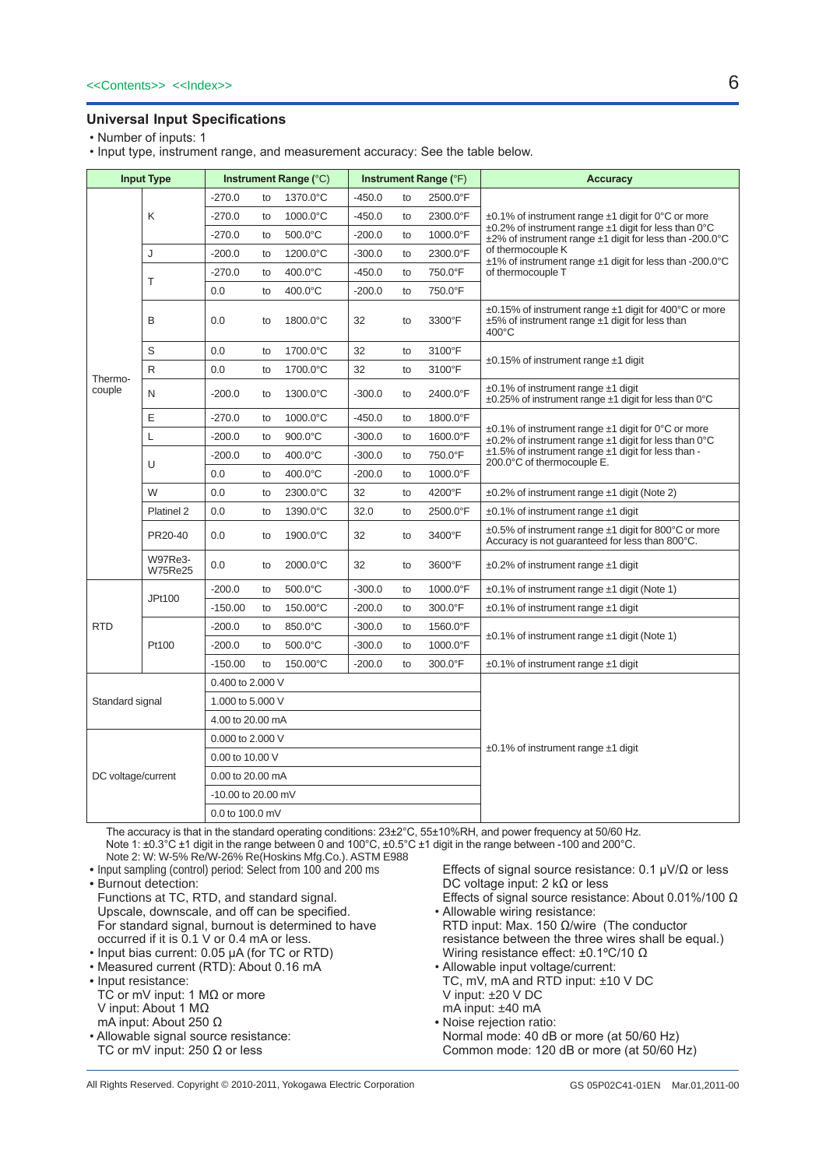### **Universal Input Specifications**

• Number of inputs: 1

• Input type, instrument range, and measurement accuracy: See the table below.

| <b>Input Type</b>  |                                  | Instrument Range (°C) |    |                   | Instrument Range (°F) |    |                                               | <b>Accuracy</b>                                                                                                                 |
|--------------------|----------------------------------|-----------------------|----|-------------------|-----------------------|----|-----------------------------------------------|---------------------------------------------------------------------------------------------------------------------------------|
|                    |                                  | $-270.0$              | to | 1370.0°C          | $-450.0$              | to | 2500.0°F                                      |                                                                                                                                 |
|                    | K                                | $-270.0$              | to | 1000.0°C          | $-450.0$              | to | 2300.0°F                                      | $\pm 0.1\%$ of instrument range $\pm 1$ digit for 0°C or more                                                                   |
|                    |                                  | $-270.0$              | to | 500.0°C           | $-200.0$              | to | 1000.0°F                                      | $\pm$ 0.2% of instrument range $\pm$ 1 digit for less than 0°C<br>±2% of instrument range ±1 digit for less than -200.0°C       |
|                    | J                                | $-200.0$              | to | 1200.0°C          | $-300.0$              | to | 2300.0°F                                      | of thermocouple K<br>±1% of instrument range ±1 digit for less than -200.0°C                                                    |
|                    | T                                | $-270.0$              | to | 400.0°C           | $-450.0$              | to | 750.0°F                                       | of thermocouple T                                                                                                               |
|                    |                                  | 0.0                   | to | 400.0°C           | $-200.0$              | to | 750.0°F                                       |                                                                                                                                 |
|                    | B                                | 0.0                   | to | 1800.0°C          | 32                    | to | 3300°F                                        | ±0.15% of instrument range ±1 digit for 400°C or more<br>$±5\%$ of instrument range $±1$ digit for less than<br>$400^{\circ}$ C |
|                    | S                                | 0.0                   | to | 1700.0°C          | 32                    | to | 3100°F                                        | $\pm 0.15\%$ of instrument range $\pm 1$ digit                                                                                  |
| Thermo-            | R                                | 0.0                   | to | 1700.0°C          | 32                    | to | 3100°F                                        |                                                                                                                                 |
| couple             | N                                | $-200.0$              | to | 1300.0°C          | $-300.0$              | to | 2400.0°F                                      | $\pm 0.1\%$ of instrument range $\pm 1$ digit<br>$\pm$ 0.25% of instrument range $\pm$ 1 digit for less than 0°C                |
|                    | E                                | $-270.0$              | to | 1000.0°C          | $-450.0$              | to | 1800.0°F                                      |                                                                                                                                 |
|                    | L                                | $-200.0$              | to | 900.0°C           | $-300.0$              | to | 1600.0°F                                      | $\pm$ 0.1% of instrument range $\pm$ 1 digit for 0°C or more<br>±0.2% of instrument range ±1 digit for less than 0°C            |
|                    |                                  | $-200.0$              | to | $400.0$ °C        | $-300.0$              | to | 750.0°F                                       | ±1.5% of instrument range ±1 digit for less than -<br>200.0°C of thermocouple E.                                                |
|                    | U                                |                       | to | 400.0°C           | $-200.0$              | to | 1000.0°F                                      |                                                                                                                                 |
|                    | W                                | 0.0                   | to | 2300.0°C          | 32                    | to | 4200°F                                        | $\pm 0.2\%$ of instrument range $\pm 1$ digit (Note 2)                                                                          |
|                    | Platinel 2                       | 0.0                   | to | 1390.0°C          | 32.0                  | to | 2500.0°F                                      | $\pm 0.1\%$ of instrument range $\pm 1$ digit                                                                                   |
|                    | PR20-40                          | 0.0                   | to | 1900.0°C          | 32                    | to | 3400°F                                        | $\pm 0.5\%$ of instrument range $\pm 1$ digit for 800°C or more<br>Accuracy is not quaranteed for less than 800°C.              |
|                    | <b>W97Re3-</b><br><b>W75Re25</b> | 0.0                   | to | 2000.0°C          | 32                    | to | 3600°F                                        | $\pm 0.2\%$ of instrument range $\pm 1$ digit                                                                                   |
|                    | JPt100                           | $-200.0$              | to | 500.0°C           | $-300.0$              | to | 1000.0°F                                      | $\pm 0.1\%$ of instrument range $\pm 1$ digit (Note 1)                                                                          |
|                    |                                  | $-150.00$             | to | 150.00°C          | $-200.0$              | to | 300.0°F                                       | $\pm 0.1\%$ of instrument range $\pm 1$ digit                                                                                   |
| <b>RTD</b>         |                                  | $-200.0$              | to | 850.0°C           | $-300.0$              | to | 1560.0°F                                      | $\pm 0.1\%$ of instrument range $\pm 1$ digit (Note 1)                                                                          |
|                    | Pt100                            | $-200.0$              | to | $500.0^{\circ}$ C | $-300.0$              | to | 1000.0°F                                      |                                                                                                                                 |
|                    |                                  | $-150.00$             | to | 150.00°C          | $-200.0$              | to | 300.0°F                                       | $\pm 0.1\%$ of instrument range $\pm 1$ digit                                                                                   |
| Standard signal    |                                  | 0.400 to 2.000 V      |    |                   |                       |    |                                               |                                                                                                                                 |
|                    |                                  | 1.000 to 5.000 V      |    |                   |                       |    |                                               |                                                                                                                                 |
|                    |                                  | 4.00 to 20.00 mA      |    |                   |                       |    |                                               |                                                                                                                                 |
|                    | 0.000 to 2.000 V                 |                       |    |                   |                       |    | $\pm 0.1\%$ of instrument range $\pm 1$ digit |                                                                                                                                 |
|                    |                                  | 0.00 to 10.00 V       |    |                   |                       |    |                                               |                                                                                                                                 |
| DC voltage/current |                                  | 0.00 to 20.00 mA      |    |                   |                       |    |                                               |                                                                                                                                 |
|                    |                                  | -10.00 to 20.00 mV    |    |                   |                       |    |                                               |                                                                                                                                 |
|                    | 0.0 to 100.0 mV                  |                       |    |                   |                       |    |                                               |                                                                                                                                 |

The accuracy is that in the standard operating conditions: 23±2°C, 55±10%RH, and power frequency at 50/60 Hz. Note 1: ±0.3°C ±1 digit in the range between 0 and 100°C, ±0.5°C ±1 digit in the range between -100 and 200°C. Note 2: W: W-5% Re/W-26% Re(Hoskins Mfg.Co.). ASTM E988

• Input sampling (control) period: Select from 100 and 200 ms

• Burnout detection:

Functions at TC, RTD, and standard signal. Upscale, downscale, and off can be specified. For standard signal, burnout is determined to have occurred if it is 0.1 V or 0.4 mA or less.

- Input bias current: 0.05 µA (for TC or RTD)
- Measured current (RTD): About 0.16 mA
- Input resistance: TC or mV input: 1  $M\Omega$  or more V input: About 1 MΩ mA input: About 250 Ω • Allowable signal source resistance:
- TC or mV input: 250  $\Omega$  or less

 Effects of signal source resistance: 0.1 µV/Ω or less DC voltage input: 2 kΩ or less Effects of signal source resistance: About 0.01%/100 Ω

- Allowable wiring resistance: RTD input: Max. 150 Ω/wire (The conductor resistance between the three wires shall be equal.) Wiring resistance effect: ±0.1ºC/10 Ω
- • Allowable input voltage/current: TC, mV, mA and RTD input: ±10 V DC V input: ±20 V DC mA input: ±40 mA
- Noise rejection ratio: Normal mode: 40 dB or more (at 50/60 Hz) Common mode: 120 dB or more (at 50/60 Hz)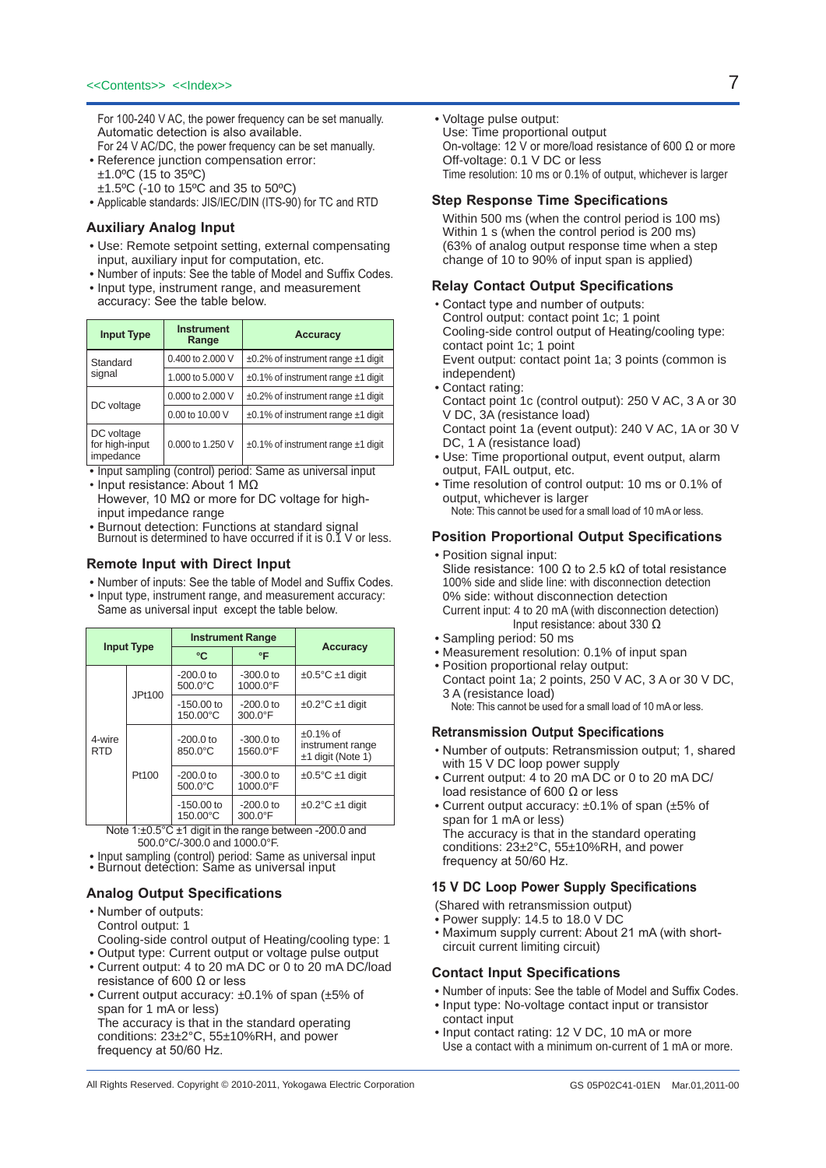For 100-240 V AC, the power frequency can be set manually. Automatic detection is also available.

- For 24 V AC/DC, the power frequency can be set manually. • Reference junction compensation error: ±1.0ºC (15 to 35ºC)
- ±1.5ºC (-10 to 15ºC and 35 to 50ºC)
- Applicable standards: JIS/IEC/DIN (ITS-90) for TC and RTD

#### **Auxiliary Analog Input**

- Use: Remote setpoint setting, external compensating input, auxiliary input for computation, etc.
- Number of inputs: See the table of Model and Suffix Codes.
- Input type, instrument range, and measurement accuracy: See the table below.

| <b>Input Type</b>                         | <b>Instrument</b><br>Range | <b>Accuracy</b>                               |  |  |
|-------------------------------------------|----------------------------|-----------------------------------------------|--|--|
| Standard                                  | 0.400 to 2,000 V           | $\pm 0.2\%$ of instrument range $\pm 1$ digit |  |  |
| signal                                    | 1.000 to 5.000 V           | $\pm 0.1\%$ of instrument range $\pm 1$ digit |  |  |
|                                           | 0.000 to 2.000 V           | $\pm 0.2\%$ of instrument range $\pm 1$ digit |  |  |
| DC voltage                                | 0.00 to 10.00 V            | $\pm 0.1\%$ of instrument range $\pm 1$ digit |  |  |
| DC voltage<br>for high-input<br>impedance | 0.000 to 1.250 V           | $\pm 0.1\%$ of instrument range $\pm 1$ digit |  |  |

• Input sampling (control) period: Same as universal input • Input resistance: About 1 MΩ

However, 10 MΩ or more for DC voltage for highinput impedance range

• Burnout detection: Functions at standard signal Burnout is determined to have occurred if it is 0.1 V or less.

#### **Remote Input with Direct Input**

- Number of inputs: See the table of Model and Suffix Codes. • Input type, instrument range, and measurement accuracy:
- Same as universal input except the table below.

| <b>Input Type</b> |                                                                         |                                                    | <b>Instrument Range</b> |                                                        |  |
|-------------------|-------------------------------------------------------------------------|----------------------------------------------------|-------------------------|--------------------------------------------------------|--|
|                   |                                                                         | °C                                                 | °F                      | <b>Accuracy</b>                                        |  |
|                   | JPt100                                                                  | $-200.0$ to<br>$500.0^{\circ}$ C                   | $-300.0$ to<br>1000.0°F | $\pm 0.5$ °C $\pm$ 1 digit                             |  |
|                   |                                                                         | $-150.00$ to<br>150.00°C                           | $-200.0$ to<br>300.0°F  | $\pm 0.2$ °C $\pm 1$ digit                             |  |
| 4-wire<br>RTD     |                                                                         | $-200.0$ to<br>850.0°C                             | $-300.0$ to<br>1560.0°F | $±0.1\%$ of<br>instrument range<br>$±1$ digit (Note 1) |  |
|                   | Pt100                                                                   | $-200.0$ to<br>500.0°C                             | $-300.0$ to<br>1000.0°F | $\pm 0.5^{\circ}$ C $\pm 1$ digit                      |  |
|                   | Note $A \cup D$ F <sub>2</sub> $C \cup A$ disit is the second behinder. | $-150.00$ to<br>$-200.0$ to<br>150.00°C<br>300.0°F |                         | $\pm 0.2$ °C $\pm 1$ digit<br>$0000 - 4$               |  |

Note 1:±0.5°C ±1 digit in the range between -200.0 and 500.0°C/-300.0 and 1000.0°F.

• Input sampling (control) period: Same as universal input • Burnout detection: Same as universal input

### **Analog Output Specifications**

- • Number of outputs: Control output: 1 Cooling-side control output of Heating/cooling type: 1
- Output type: Current output or voltage pulse output
- Current output: 4 to 20 mA DC or 0 to 20 mA DC/load resistance of 600  $Ω$  or less
- Current output accuracy: ±0.1% of span (±5% of span for 1 mA or less) The accuracy is that in the standard operating conditions: 23±2°C, 55±10%RH, and power frequency at 50/60 Hz.

• Voltage pulse output:

Use: Time proportional output On-voltage: 12 V or more/load resistance of 600 Ω or more Off-voltage: 0.1 V DC or less Time resolution: 10 ms or 0.1% of output, whichever is larger

#### **Step Response Time Specifications**

Within 500 ms (when the control period is 100 ms) Within 1 s (when the control period is 200 ms) (63% of analog output response time when a step change of 10 to 90% of input span is applied)

#### **Relay Contact Output Specifications**

- • Contact type and number of outputs: Control output: contact point 1c; 1 point Cooling-side control output of Heating/cooling type: contact point 1c; 1 point Event output: contact point 1a; 3 points (common is independent)
- Contact rating: Contact point 1c (control output): 250 V AC, 3 A or 30 V DC, 3A (resistance load) Contact point 1a (event output): 240 V AC, 1A or 30 V DC, 1 A (resistance load)
- Use: Time proportional output, event output, alarm output, FAIL output, etc.
- Time resolution of control output: 10 ms or 0.1% of output, whichever is larger Note: This cannot be used for a small load of 10 mA or less.

### **Position Proportional Output Specifications**

- Position signal input: Slide resistance: 100  $\Omega$  to 2.5 k $\Omega$  of total resistance 100% side and slide line: with disconnection detection 0% side: without disconnection detection Current input: 4 to 20 mA (with disconnection detection) Input resistance: about 330 Ω
- Sampling period: 50 ms
- Measurement resolution: 0.1% of input span
- Position proportional relay output: Contact point 1a; 2 points, 250 V AC, 3 A or 30 V DC, 3 A (resistance load)
	- Note: This cannot be used for a small load of 10 mA or less.

#### **Retransmission Output Specifications**

- • Number of outputs: Retransmission output; 1, shared with 15 V DC loop power supply
- Current output: 4 to 20 mA DC or 0 to 20 mA DC/ load resistance of 600 Ω or less
- Current output accuracy: ±0.1% of span (±5% of span for 1 mA or less) The accuracy is that in the standard operating conditions: 23±2°C, 55±10%RH, and power frequency at 50/60 Hz.

#### **15 V DC Loop Power Supply Specifications**

(Shared with retransmission output)

- Power supply: 14.5 to 18.0 V DC
- Maximum supply current: About 21 mA (with shortcircuit current limiting circuit)

#### **Contact Input Specifications**

- Number of inputs: See the table of Model and Suffix Codes.
- Input type: No-voltage contact input or transistor contact input
- Input contact rating: 12 V DC, 10 mA or more Use a contact with a minimum on-current of 1 mA or more.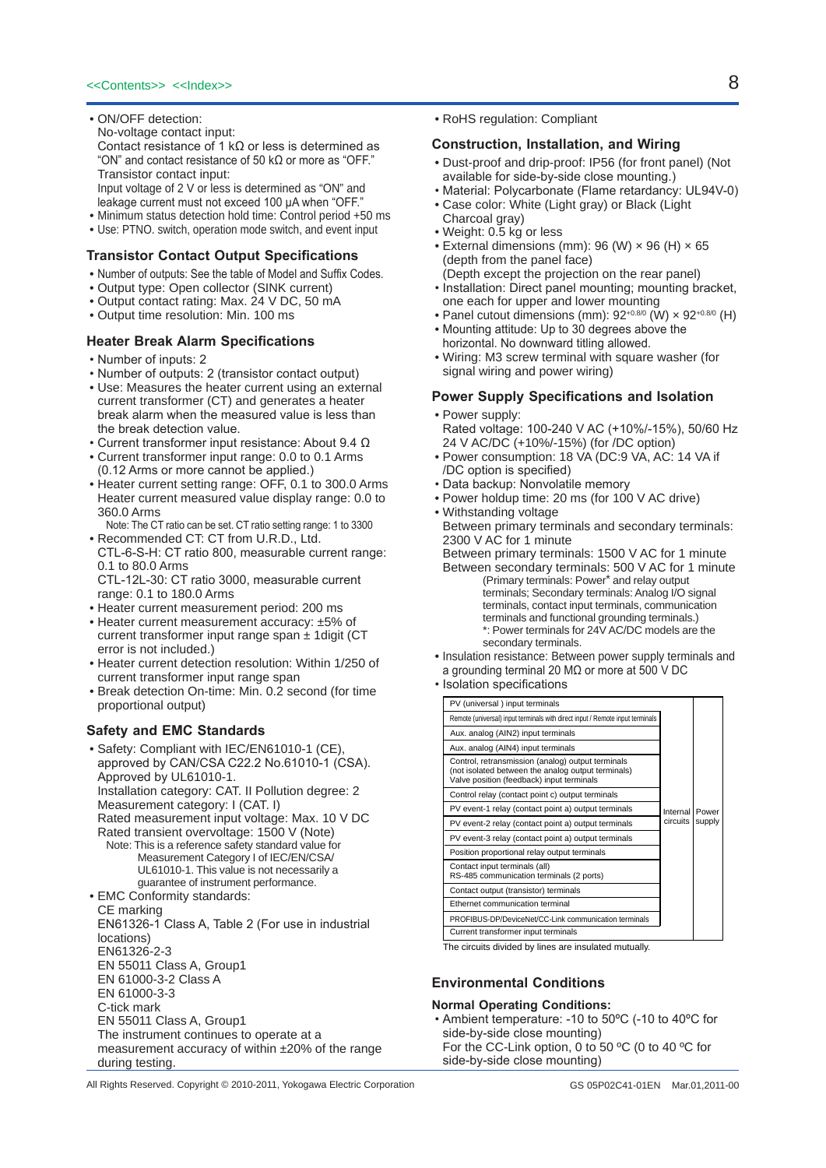- ON/OFF detection:
- No-voltage contact input:

 Contact resistance of 1 kΩ or less is determined as "ON" and contact resistance of 50 kΩ or more as "OFF." Transistor contact input:

Input voltage of 2 V or less is determined as "ON" and leakage current must not exceed 100 µA when "OFF."

- Minimum status detection hold time: Control period +50 ms
- Use: PTNO. switch, operation mode switch, and event input

#### **Transistor Contact Output Specifications**

- Number of outputs: See the table of Model and Suffix Codes.
- Output type: Open collector (SINK current)
- Output contact rating: Max. 24 V DC, 50 mA
- Output time resolution: Min. 100 ms

#### **Heater Break Alarm Specifications**

- • Number of inputs: 2
- • Number of outputs: 2 (transistor contact output)
- Use: Measures the heater current using an external current transformer (CT) and generates a heater break alarm when the measured value is less than the break detection value.
- Current transformer input resistance: About 9.4 Ω
- Current transformer input range: 0.0 to 0.1 Arms (0.12 Arms or more cannot be applied.)
- Heater current setting range: OFF, 0.1 to 300.0 Arms Heater current measured value display range: 0.0 to 360.0 Arms
- Note: The CT ratio can be set. CT ratio setting range: 1 to 3300 • Recommended CT: CT from U.R.D., Ltd. CTL-6-S-H: CT ratio 800, measurable current range: 0.1 to 80.0 Arms
- CTL-12L-30: CT ratio 3000, measurable current range: 0.1 to 180.0 Arms
- Heater current measurement period: 200 ms
- Heater current measurement accuracy: ±5% of current transformer input range span  $\pm$  1 digit (CT error is not included.)
- Heater current detection resolution: Within 1/250 of current transformer input range span
- Break detection On-time: Min. 0.2 second (for time proportional output)

#### **Safety and EMC Standards**

during testing.

• Safety: Compliant with IEC/EN61010-1 (CE), approved by CAN/CSA C22.2 No.61010-1 (CSA). Approved by UL61010-1. Installation category: CAT. II Pollution degree: 2 Measurement category: I (CAT. I) Rated measurement input voltage: Max. 10 V DC Rated transient overvoltage: 1500 V (Note) Note: This is a reference safety standard value for Measurement Category I of IEC/EN/CSA/ UL61010-1. This value is not necessarily a guarantee of instrument performance. • EMC Conformity standards: CE marking EN61326-1 Class A, Table 2 (For use in industrial locations) EN61326-2-3 EN 55011 Class A, Group1 EN 61000-3-2 Class A EN 61000-3-3 C-tick mark EN 55011 Class A, Group1 The instrument continues to operate at a measurement accuracy of within ±20% of the range • RoHS regulation: Compliant

#### **Construction, Installation, and Wiring**

- Dust-proof and drip-proof: IP56 (for front panel) (Not available for side-by-side close mounting.)
- • Material: Polycarbonate (Flame retardancy: UL94V-0) • Case color: White (Light gray) or Black (Light
- Charcoal gray)
- Weight: 0.5 kg or less
- External dimensions (mm): 96 (W)  $\times$  96 (H)  $\times$  65 (depth from the panel face)
- (Depth except the projection on the rear panel) • Installation: Direct panel mounting; mounting bracket, one each for upper and lower mounting
- Panel cutout dimensions (mm):  $92^{+0.8/0}$  (W)  $\times$   $92^{+0.8/0}$  (H)
- Mounting attitude: Up to 30 degrees above the horizontal. No downward titling allowed.
- Wiring: M3 screw terminal with square washer (for signal wiring and power wiring)

# **Power Supply Specifications and Isolation**

- Power supply: Rated voltage: 100-240 V AC (+10%/-15%), 50/60 Hz 24 V AC/DC (+10%/-15%) (for /DC option)
- Power consumption: 18 VA (DC:9 VA, AC: 14 VA if /DC option is specified)
- • Data backup: Nonvolatile memory
- Power holdup time: 20 ms (for 100 V AC drive)
- Withstanding voltage Between primary terminals and secondary terminals: 2300 V AC for 1 minute

Between primary terminals: 1500 V AC for 1 minute Between secondary terminals: 500 V AC for 1 minute

- (Primary terminals: Power\* and relay output terminals; Secondary terminals: Analog I/O signal terminals, contact input terminals, communication terminals and functional grounding terminals.) \*: Power terminals for 24V AC/DC models are the secondary terminals.
- Insulation resistance: Between power supply terminals and a grounding terminal 20 MΩ or more at 500 V DC
- • Isolation specifications

| PV (universal) input terminals                                                                                                                       |                      |                 |
|------------------------------------------------------------------------------------------------------------------------------------------------------|----------------------|-----------------|
| Remote (universal) input terminals with direct input / Remote input terminals                                                                        |                      |                 |
| Aux. analog (AIN2) input terminals                                                                                                                   |                      |                 |
| Aux. analog (AIN4) input terminals                                                                                                                   |                      |                 |
| Control, retransmission (analog) output terminals<br>(not isolated between the analog output terminals)<br>Valve position (feedback) input terminals |                      |                 |
| Control relay (contact point c) output terminals                                                                                                     |                      |                 |
| PV event-1 relay (contact point a) output terminals                                                                                                  | Internal<br>circuits | Power<br>supply |
| PV event-2 relay (contact point a) output terminals                                                                                                  |                      |                 |
| PV event-3 relay (contact point a) output terminals                                                                                                  |                      |                 |
| Position proportional relay output terminals                                                                                                         |                      |                 |
| Contact input terminals (all)<br>RS-485 communication terminals (2 ports)                                                                            |                      |                 |
| Contact output (transistor) terminals                                                                                                                |                      |                 |
| Ethernet communication terminal                                                                                                                      |                      |                 |
| PROFIBUS-DP/DeviceNet/CC-Link communication terminals                                                                                                |                      |                 |
| Current transformer input terminals                                                                                                                  |                      |                 |

The circuits divided by lines are insulated mutually.

# **Environmental Conditions**

# **Normal Operating Conditions:**

• Ambient temperature: -10 to 50ºC (-10 to 40ºC for side-by-side close mounting) For the CC-Link option, 0 to 50 ºC (0 to 40 ºC for side-by-side close mounting)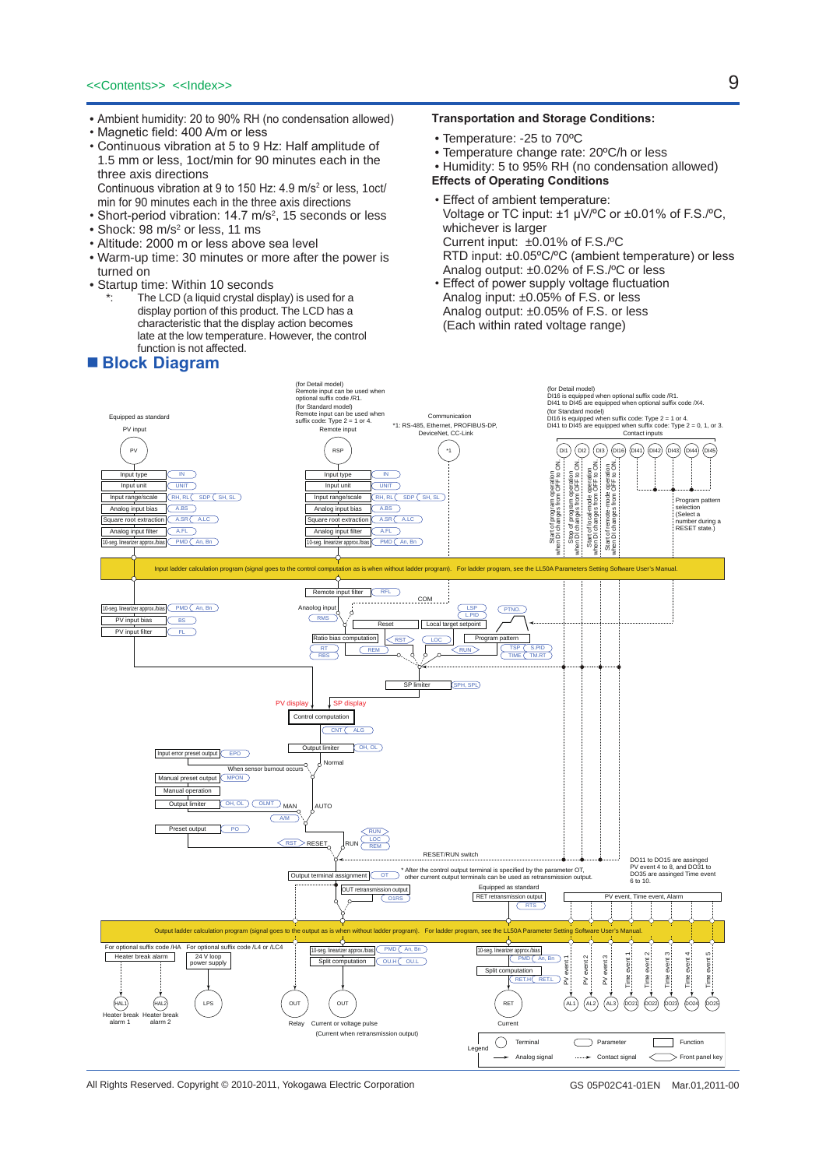- Ambient humidity: 20 to 90% RH (no condensation allowed)
- • Magnetic field: 400 A/m or less
- • Continuous vibration at 5 to 9 Hz: Half amplitude of 1.5 mm or less, 1oct/min for 90 minutes each in the three axis directions Continuous vibration at 9 to 150 Hz: 4.9 m/s<sup>2</sup> or less, 1oct/
- min for 90 minutes each in the three axis directions
- Short-period vibration: 14.7 m/s<sup>2</sup>, 15 seconds or less
- $\bullet$  Shock: 98 m/s $^2$  or less, 11 ms
- • Altitude: 2000 m or less above sea level
- Warm-up time: 30 minutes or more after the power is turned on
- Startup time: Within 10 seconds
	- The LCD (a liquid crystal display) is used for a display portion of this product. The LCD has a characteristic that the display action becomes late at the low temperature. However, the control function is not affected.

# ■ **Block Diagram**

#### **Transportation and Storage Conditions:**

- Temperature: -25 to 70ºC
- Temperature change rate: 20ºC/h or less
- Humidity: 5 to 95% RH (no condensation allowed)

**Effects of Operating Conditions**

- • Effect of ambient temperature: Voltage or TC input: ±1 µV/ºC or ±0.01% of F.S./ºC, whichever is larger Current input: ±0.01% of F.S./ºC RTD input: ±0.05ºC/ºC (ambient temperature) or less Analog output: ±0.02% of F.S./ºC or less
- • Effect of power supply voltage fluctuation Analog input: ±0.05% of F.S. or less Analog output: ±0.05% of F.S. or less (Each within rated voltage range)



All Rights Reserved. Copyright © 2010-2011, Yokogawa Electric Corporation GS 05P02C41-01EN Mar.01,2011-00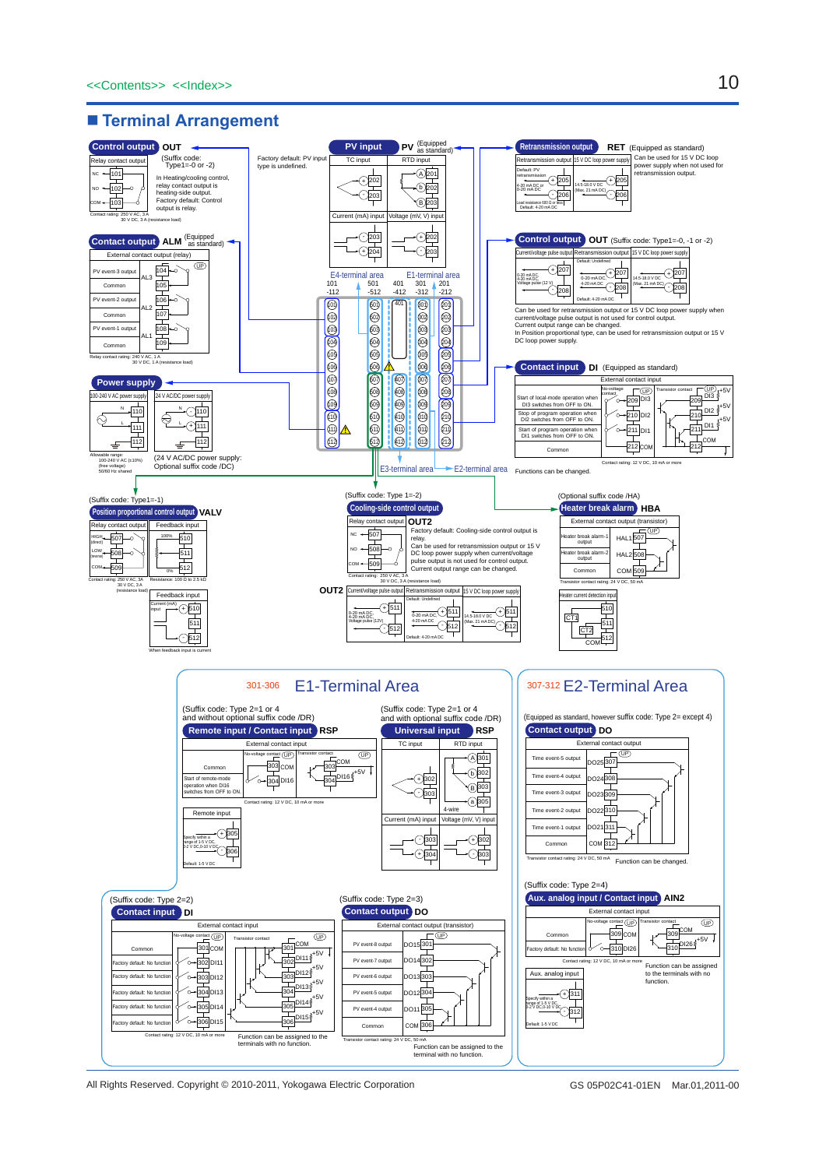### ■ **Terminal Arrangement**



All Rights Reserved. Copyright © 2010-2011, Yokogawa Electric Corporation

GS 05P02C41-01EN Mar.01,2011-00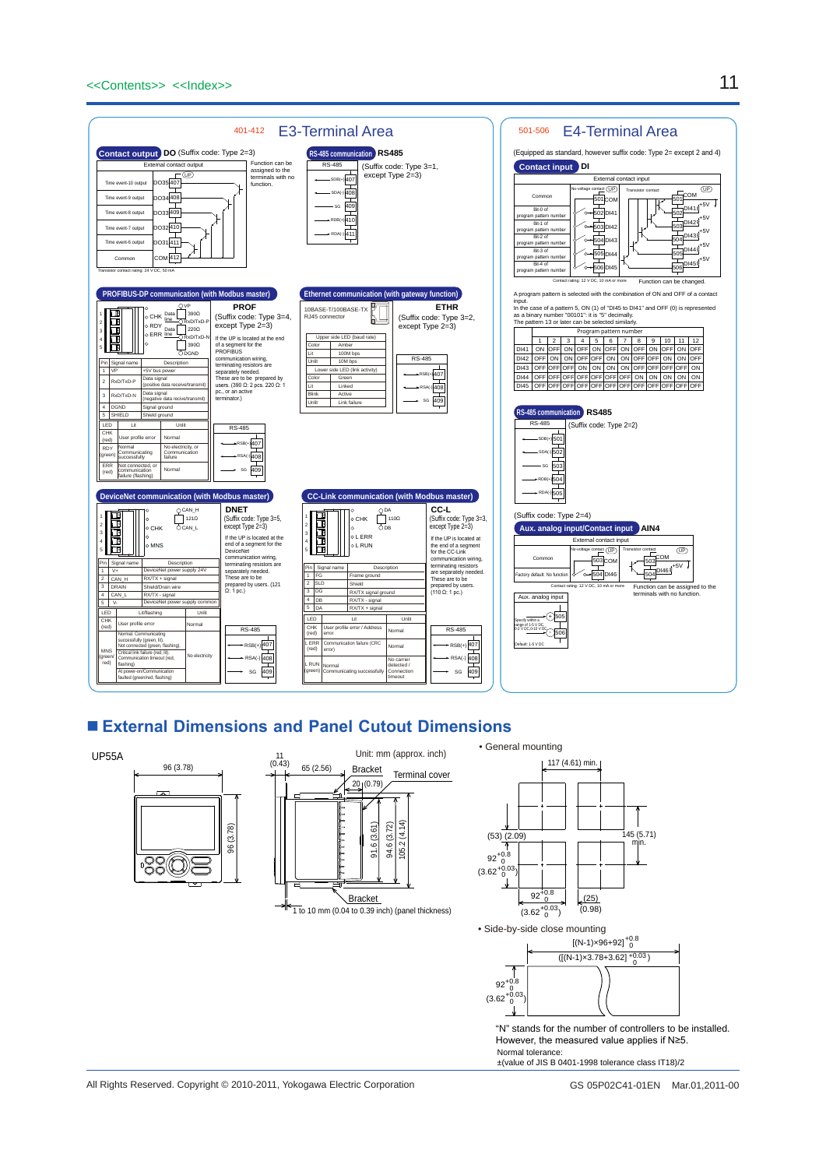

# ■ **External Dimensions and Panel Cutout Dimensions**



±(value of JIS B 0401-1998 tolerance class IT18)/2

All Rights Reserved. Copyright © 2010-2011, Yokogawa Electric Corporation GS 05P02C41-01EN Mar.01,2011-00